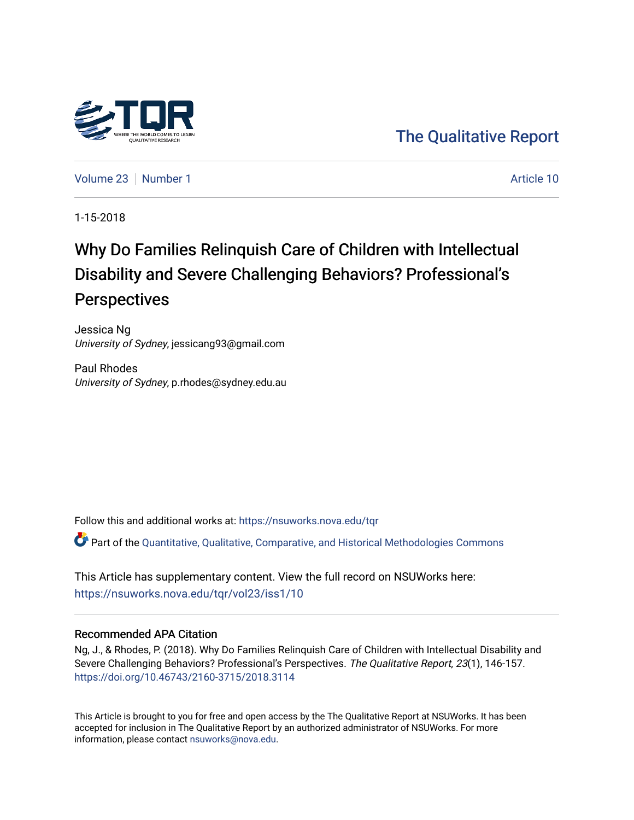

[The Qualitative Report](https://nsuworks.nova.edu/tqr) 

[Volume 23](https://nsuworks.nova.edu/tqr/vol23) [Number 1](https://nsuworks.nova.edu/tqr/vol23/iss1) Article 10

1-15-2018

# Why Do Families Relinquish Care of Children with Intellectual Disability and Severe Challenging Behaviors? Professional's **Perspectives**

Jessica Ng University of Sydney, jessicang93@gmail.com

Paul Rhodes University of Sydney, p.rhodes@sydney.edu.au

Follow this and additional works at: [https://nsuworks.nova.edu/tqr](https://nsuworks.nova.edu/tqr?utm_source=nsuworks.nova.edu%2Ftqr%2Fvol23%2Fiss1%2F10&utm_medium=PDF&utm_campaign=PDFCoverPages) 

Part of the [Quantitative, Qualitative, Comparative, and Historical Methodologies Commons](http://network.bepress.com/hgg/discipline/423?utm_source=nsuworks.nova.edu%2Ftqr%2Fvol23%2Fiss1%2F10&utm_medium=PDF&utm_campaign=PDFCoverPages) 

This Article has supplementary content. View the full record on NSUWorks here: <https://nsuworks.nova.edu/tqr/vol23/iss1/10>

### Recommended APA Citation

Ng, J., & Rhodes, P. (2018). Why Do Families Relinquish Care of Children with Intellectual Disability and Severe Challenging Behaviors? Professional's Perspectives. The Qualitative Report, 23(1), 146-157. <https://doi.org/10.46743/2160-3715/2018.3114>

This Article is brought to you for free and open access by the The Qualitative Report at NSUWorks. It has been accepted for inclusion in The Qualitative Report by an authorized administrator of NSUWorks. For more information, please contact [nsuworks@nova.edu.](mailto:nsuworks@nova.edu)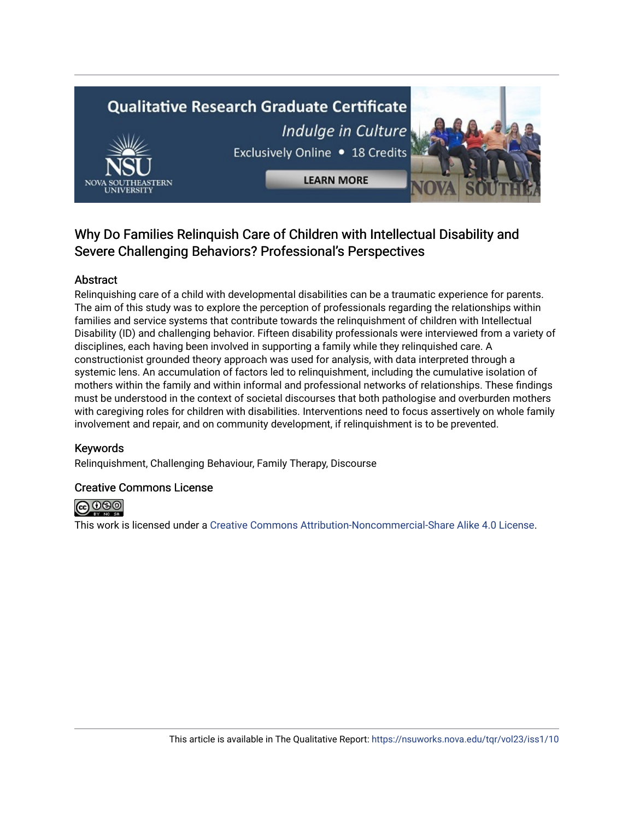# **Qualitative Research Graduate Certificate** Indulge in Culture Exclusively Online . 18 Credits **LEARN MORE**

# Why Do Families Relinquish Care of Children with Intellectual Disability and Severe Challenging Behaviors? Professional's Perspectives

# Abstract

Relinquishing care of a child with developmental disabilities can be a traumatic experience for parents. The aim of this study was to explore the perception of professionals regarding the relationships within families and service systems that contribute towards the relinquishment of children with Intellectual Disability (ID) and challenging behavior. Fifteen disability professionals were interviewed from a variety of disciplines, each having been involved in supporting a family while they relinquished care. A constructionist grounded theory approach was used for analysis, with data interpreted through a systemic lens. An accumulation of factors led to relinquishment, including the cumulative isolation of mothers within the family and within informal and professional networks of relationships. These findings must be understood in the context of societal discourses that both pathologise and overburden mothers with caregiving roles for children with disabilities. Interventions need to focus assertively on whole family involvement and repair, and on community development, if relinquishment is to be prevented.

# Keywords

Relinquishment, Challenging Behaviour, Family Therapy, Discourse

# Creative Commons License



This work is licensed under a [Creative Commons Attribution-Noncommercial-Share Alike 4.0 License](https://creativecommons.org/licenses/by-nc-sa/4.0/).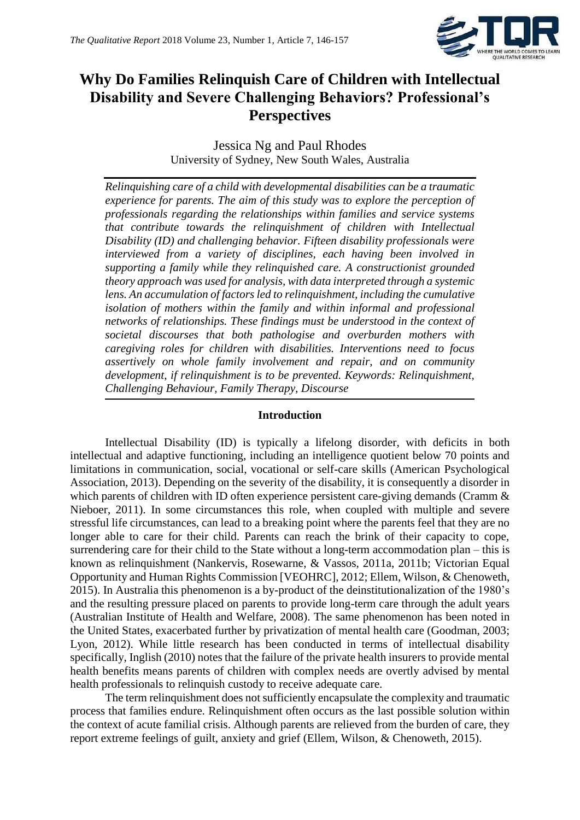

# **Why Do Families Relinquish Care of Children with Intellectual Disability and Severe Challenging Behaviors? Professional's Perspectives**

Jessica Ng and Paul Rhodes University of Sydney, New South Wales, Australia

*Relinquishing care of a child with developmental disabilities can be a traumatic experience for parents. The aim of this study was to explore the perception of professionals regarding the relationships within families and service systems that contribute towards the relinquishment of children with Intellectual Disability (ID) and challenging behavior. Fifteen disability professionals were interviewed from a variety of disciplines, each having been involved in supporting a family while they relinquished care. A constructionist grounded theory approach was used for analysis, with data interpreted through a systemic lens. An accumulation of factors led to relinquishment, including the cumulative isolation of mothers within the family and within informal and professional networks of relationships. These findings must be understood in the context of societal discourses that both pathologise and overburden mothers with caregiving roles for children with disabilities. Interventions need to focus assertively on whole family involvement and repair, and on community development, if relinquishment is to be prevented. Keywords: Relinquishment, Challenging Behaviour, Family Therapy, Discourse*

# **Introduction**

Intellectual Disability (ID) is typically a lifelong disorder, with deficits in both intellectual and adaptive functioning, including an intelligence quotient below 70 points and limitations in communication, social, vocational or self-care skills (American Psychological Association, 2013). Depending on the severity of the disability, it is consequently a disorder in which parents of children with ID often experience persistent care-giving demands (Cramm & Nieboer, 2011). In some circumstances this role, when coupled with multiple and severe stressful life circumstances, can lead to a breaking point where the parents feel that they are no longer able to care for their child. Parents can reach the brink of their capacity to cope, surrendering care for their child to the State without a long-term accommodation plan – this is known as relinquishment (Nankervis, Rosewarne, & Vassos, 2011a, 2011b; Victorian Equal Opportunity and Human Rights Commission [VEOHRC], 2012; Ellem, Wilson, & Chenoweth, 2015). In Australia this phenomenon is a by-product of the deinstitutionalization of the 1980's and the resulting pressure placed on parents to provide long-term care through the adult years (Australian Institute of Health and Welfare, 2008). The same phenomenon has been noted in the United States, exacerbated further by privatization of mental health care (Goodman, 2003; Lyon, 2012). While little research has been conducted in terms of intellectual disability specifically, Inglish (2010) notes that the failure of the private health insurers to provide mental health benefits means parents of children with complex needs are overtly advised by mental health professionals to relinquish custody to receive adequate care.

The term relinquishment does not sufficiently encapsulate the complexity and traumatic process that families endure. Relinquishment often occurs as the last possible solution within the context of acute familial crisis. Although parents are relieved from the burden of care, they report extreme feelings of guilt, anxiety and grief (Ellem, Wilson, & Chenoweth, 2015).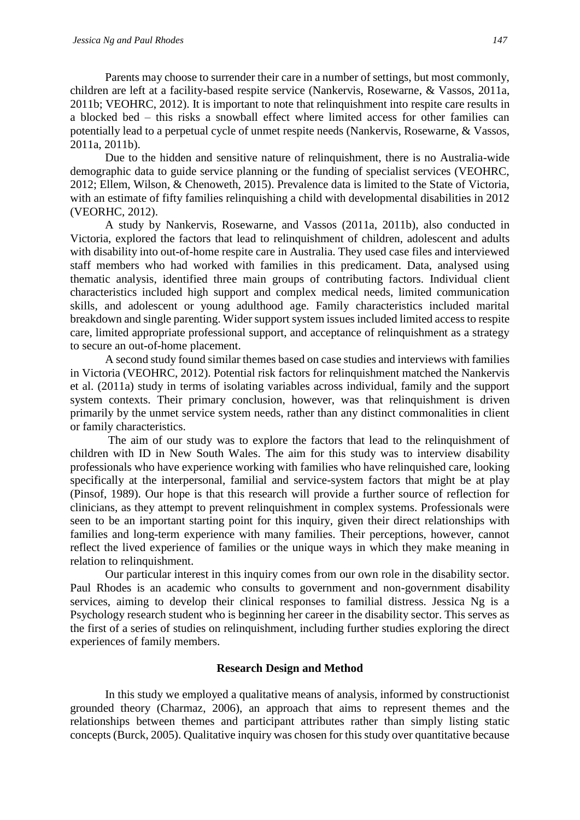Parents may choose to surrender their care in a number of settings, but most commonly, children are left at a facility-based respite service (Nankervis, Rosewarne, & Vassos, 2011a, 2011b; VEOHRC, 2012). It is important to note that relinquishment into respite care results in a blocked bed – this risks a snowball effect where limited access for other families can potentially lead to a perpetual cycle of unmet respite needs (Nankervis, Rosewarne, & Vassos, 2011a, 2011b).

Due to the hidden and sensitive nature of relinquishment, there is no Australia-wide demographic data to guide service planning or the funding of specialist services (VEOHRC, 2012; Ellem, Wilson, & Chenoweth, 2015). Prevalence data is limited to the State of Victoria, with an estimate of fifty families relinquishing a child with developmental disabilities in 2012 (VEORHC, 2012).

A study by Nankervis, Rosewarne, and Vassos (2011a, 2011b), also conducted in Victoria, explored the factors that lead to relinquishment of children, adolescent and adults with disability into out-of-home respite care in Australia. They used case files and interviewed staff members who had worked with families in this predicament. Data, analysed using thematic analysis, identified three main groups of contributing factors. Individual client characteristics included high support and complex medical needs, limited communication skills, and adolescent or young adulthood age. Family characteristics included marital breakdown and single parenting. Wider support system issues included limited access to respite care, limited appropriate professional support, and acceptance of relinquishment as a strategy to secure an out-of-home placement.

A second study found similar themes based on case studies and interviews with families in Victoria (VEOHRC, 2012). Potential risk factors for relinquishment matched the Nankervis et al. (2011a) study in terms of isolating variables across individual, family and the support system contexts. Their primary conclusion, however, was that relinquishment is driven primarily by the unmet service system needs, rather than any distinct commonalities in client or family characteristics.

The aim of our study was to explore the factors that lead to the relinquishment of children with ID in New South Wales. The aim for this study was to interview disability professionals who have experience working with families who have relinquished care, looking specifically at the interpersonal, familial and service-system factors that might be at play (Pinsof, 1989). Our hope is that this research will provide a further source of reflection for clinicians, as they attempt to prevent relinquishment in complex systems. Professionals were seen to be an important starting point for this inquiry, given their direct relationships with families and long-term experience with many families. Their perceptions, however, cannot reflect the lived experience of families or the unique ways in which they make meaning in relation to relinquishment.

Our particular interest in this inquiry comes from our own role in the disability sector. Paul Rhodes is an academic who consults to government and non-government disability services, aiming to develop their clinical responses to familial distress. Jessica Ng is a Psychology research student who is beginning her career in the disability sector. This serves as the first of a series of studies on relinquishment, including further studies exploring the direct experiences of family members.

# **Research Design and Method**

In this study we employed a qualitative means of analysis, informed by constructionist grounded theory (Charmaz, 2006), an approach that aims to represent themes and the relationships between themes and participant attributes rather than simply listing static concepts (Burck, 2005). Qualitative inquiry was chosen for this study over quantitative because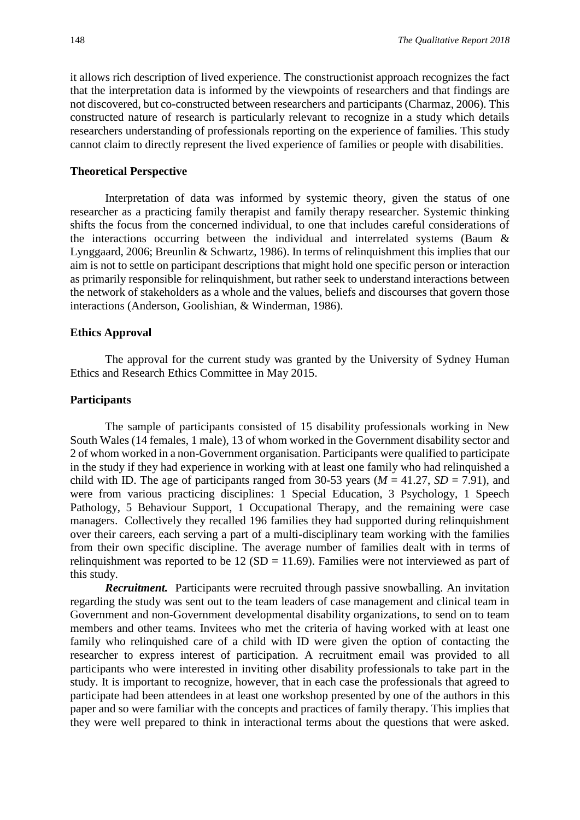it allows rich description of lived experience. The constructionist approach recognizes the fact that the interpretation data is informed by the viewpoints of researchers and that findings are not discovered, but co-constructed between researchers and participants (Charmaz, 2006). This constructed nature of research is particularly relevant to recognize in a study which details researchers understanding of professionals reporting on the experience of families. This study cannot claim to directly represent the lived experience of families or people with disabilities.

#### **Theoretical Perspective**

Interpretation of data was informed by systemic theory, given the status of one researcher as a practicing family therapist and family therapy researcher. Systemic thinking shifts the focus from the concerned individual, to one that includes careful considerations of the interactions occurring between the individual and interrelated systems (Baum & Lynggaard, 2006; Breunlin & Schwartz, 1986). In terms of relinquishment this implies that our aim is not to settle on participant descriptions that might hold one specific person or interaction as primarily responsible for relinquishment, but rather seek to understand interactions between the network of stakeholders as a whole and the values, beliefs and discourses that govern those interactions (Anderson, Goolishian, & Winderman, 1986).

#### **Ethics Approval**

The approval for the current study was granted by the University of Sydney Human Ethics and Research Ethics Committee in May 2015.

# **Participants**

The sample of participants consisted of 15 disability professionals working in New South Wales (14 females, 1 male), 13 of whom worked in the Government disability sector and 2 of whom worked in a non-Government organisation. Participants were qualified to participate in the study if they had experience in working with at least one family who had relinquished a child with ID. The age of participants ranged from 30-53 years ( $M = 41.27$ ,  $SD = 7.91$ ), and were from various practicing disciplines: 1 Special Education, 3 Psychology, 1 Speech Pathology, 5 Behaviour Support, 1 Occupational Therapy, and the remaining were case managers. Collectively they recalled 196 families they had supported during relinquishment over their careers, each serving a part of a multi-disciplinary team working with the families from their own specific discipline. The average number of families dealt with in terms of relinguishment was reported to be  $12 \text{ (SD} = 11.69)$ . Families were not interviewed as part of this study.

*Recruitment.* Participants were recruited through passive snowballing. An invitation regarding the study was sent out to the team leaders of case management and clinical team in Government and non-Government developmental disability organizations, to send on to team members and other teams. Invitees who met the criteria of having worked with at least one family who relinquished care of a child with ID were given the option of contacting the researcher to express interest of participation. A recruitment email was provided to all participants who were interested in inviting other disability professionals to take part in the study. It is important to recognize, however, that in each case the professionals that agreed to participate had been attendees in at least one workshop presented by one of the authors in this paper and so were familiar with the concepts and practices of family therapy. This implies that they were well prepared to think in interactional terms about the questions that were asked.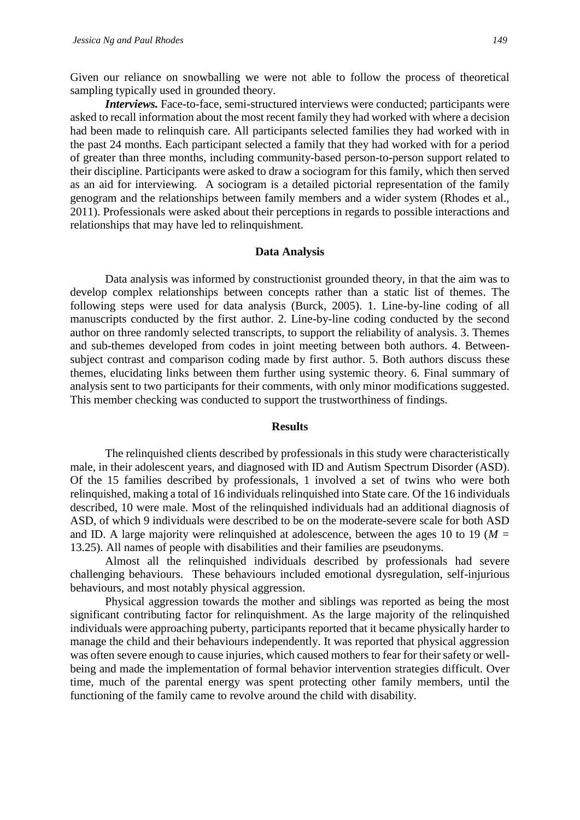Given our reliance on snowballing we were not able to follow the process of theoretical sampling typically used in grounded theory.

*Interviews.* Face-to-face, semi-structured interviews were conducted; participants were asked to recall information about the most recent family they had worked with where a decision had been made to relinquish care. All participants selected families they had worked with in the past 24 months. Each participant selected a family that they had worked with for a period of greater than three months, including community-based person-to-person support related to their discipline. Participants were asked to draw a sociogram for this family, which then served as an aid for interviewing. A sociogram is a detailed pictorial representation of the family genogram and the relationships between family members and a wider system (Rhodes et al., 2011). Professionals were asked about their perceptions in regards to possible interactions and relationships that may have led to relinquishment.

#### **Data Analysis**

Data analysis was informed by constructionist grounded theory, in that the aim was to develop complex relationships between concepts rather than a static list of themes. The following steps were used for data analysis (Burck, 2005). 1. Line-by-line coding of all manuscripts conducted by the first author. 2. Line-by-line coding conducted by the second author on three randomly selected transcripts, to support the reliability of analysis. 3. Themes and sub-themes developed from codes in joint meeting between both authors. 4. Betweensubject contrast and comparison coding made by first author. 5. Both authors discuss these themes, elucidating links between them further using systemic theory. 6. Final summary of analysis sent to two participants for their comments, with only minor modifications suggested. This member checking was conducted to support the trustworthiness of findings.

#### **Results**

The relinquished clients described by professionals in this study were characteristically male, in their adolescent years, and diagnosed with ID and Autism Spectrum Disorder (ASD). Of the 15 families described by professionals, 1 involved a set of twins who were both relinquished, making a total of 16 individuals relinquished into State care. Of the 16 individuals described, 10 were male. Most of the relinquished individuals had an additional diagnosis of ASD, of which 9 individuals were described to be on the moderate-severe scale for both ASD and ID. A large majority were relinquished at adolescence, between the ages 10 to 19 (*M =* 13.25). All names of people with disabilities and their families are pseudonyms.

Almost all the relinquished individuals described by professionals had severe challenging behaviours. These behaviours included emotional dysregulation, self-injurious behaviours, and most notably physical aggression.

Physical aggression towards the mother and siblings was reported as being the most significant contributing factor for relinquishment. As the large majority of the relinquished individuals were approaching puberty, participants reported that it became physically harder to manage the child and their behaviours independently. It was reported that physical aggression was often severe enough to cause injuries, which caused mothers to fear for their safety or wellbeing and made the implementation of formal behavior intervention strategies difficult. Over time, much of the parental energy was spent protecting other family members, until the functioning of the family came to revolve around the child with disability.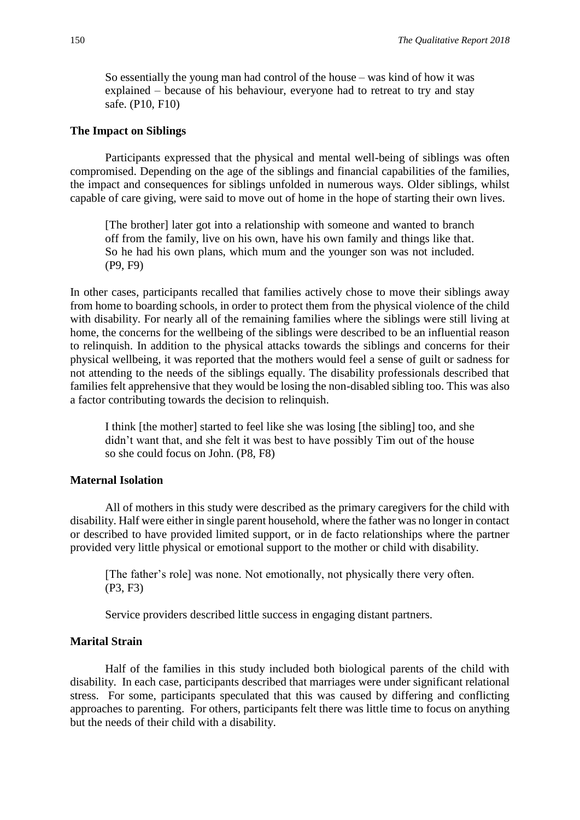So essentially the young man had control of the house – was kind of how it was explained – because of his behaviour, everyone had to retreat to try and stay safe. (P10, F10)

#### **The Impact on Siblings**

Participants expressed that the physical and mental well-being of siblings was often compromised. Depending on the age of the siblings and financial capabilities of the families, the impact and consequences for siblings unfolded in numerous ways. Older siblings, whilst capable of care giving, were said to move out of home in the hope of starting their own lives.

[The brother] later got into a relationship with someone and wanted to branch off from the family, live on his own, have his own family and things like that. So he had his own plans, which mum and the younger son was not included. (P9, F9)

In other cases, participants recalled that families actively chose to move their siblings away from home to boarding schools, in order to protect them from the physical violence of the child with disability. For nearly all of the remaining families where the siblings were still living at home, the concerns for the wellbeing of the siblings were described to be an influential reason to relinquish. In addition to the physical attacks towards the siblings and concerns for their physical wellbeing, it was reported that the mothers would feel a sense of guilt or sadness for not attending to the needs of the siblings equally. The disability professionals described that families felt apprehensive that they would be losing the non-disabled sibling too. This was also a factor contributing towards the decision to relinquish.

I think [the mother] started to feel like she was losing [the sibling] too, and she didn't want that, and she felt it was best to have possibly Tim out of the house so she could focus on John. (P8, F8)

#### **Maternal Isolation**

All of mothers in this study were described as the primary caregivers for the child with disability. Half were either in single parent household, where the father was no longer in contact or described to have provided limited support, or in de facto relationships where the partner provided very little physical or emotional support to the mother or child with disability.

[The father's role] was none. Not emotionally, not physically there very often. (P3, F3)

Service providers described little success in engaging distant partners.

# **Marital Strain**

Half of the families in this study included both biological parents of the child with disability. In each case, participants described that marriages were under significant relational stress. For some, participants speculated that this was caused by differing and conflicting approaches to parenting. For others, participants felt there was little time to focus on anything but the needs of their child with a disability.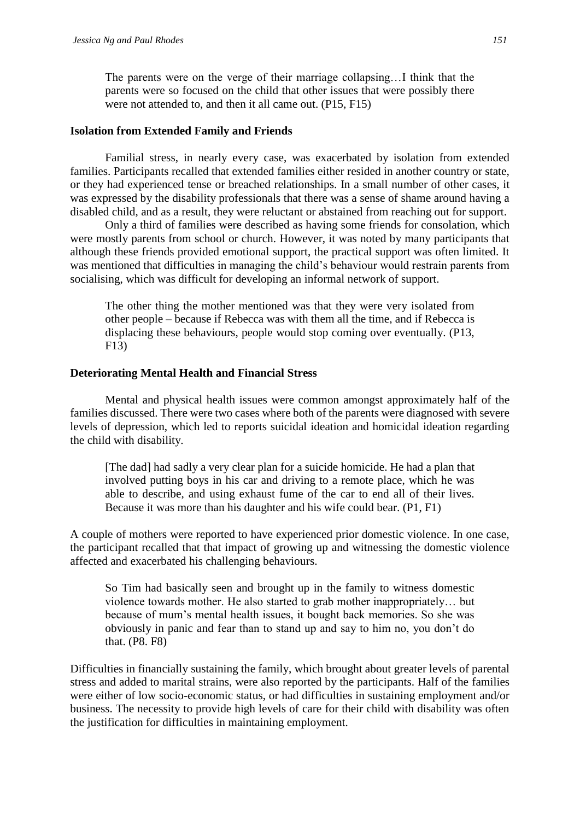The parents were on the verge of their marriage collapsing…I think that the parents were so focused on the child that other issues that were possibly there were not attended to, and then it all came out. (P15, F15)

#### **Isolation from Extended Family and Friends**

Familial stress, in nearly every case, was exacerbated by isolation from extended families. Participants recalled that extended families either resided in another country or state, or they had experienced tense or breached relationships. In a small number of other cases, it was expressed by the disability professionals that there was a sense of shame around having a disabled child, and as a result, they were reluctant or abstained from reaching out for support.

Only a third of families were described as having some friends for consolation, which were mostly parents from school or church. However, it was noted by many participants that although these friends provided emotional support, the practical support was often limited. It was mentioned that difficulties in managing the child's behaviour would restrain parents from socialising, which was difficult for developing an informal network of support.

The other thing the mother mentioned was that they were very isolated from other people – because if Rebecca was with them all the time, and if Rebecca is displacing these behaviours, people would stop coming over eventually. (P13, F13)

#### **Deteriorating Mental Health and Financial Stress**

Mental and physical health issues were common amongst approximately half of the families discussed. There were two cases where both of the parents were diagnosed with severe levels of depression, which led to reports suicidal ideation and homicidal ideation regarding the child with disability.

[The dad] had sadly a very clear plan for a suicide homicide. He had a plan that involved putting boys in his car and driving to a remote place, which he was able to describe, and using exhaust fume of the car to end all of their lives. Because it was more than his daughter and his wife could bear. (P1, F1)

A couple of mothers were reported to have experienced prior domestic violence. In one case, the participant recalled that that impact of growing up and witnessing the domestic violence affected and exacerbated his challenging behaviours.

So Tim had basically seen and brought up in the family to witness domestic violence towards mother. He also started to grab mother inappropriately… but because of mum's mental health issues, it bought back memories. So she was obviously in panic and fear than to stand up and say to him no, you don't do that. (P8. F8)

Difficulties in financially sustaining the family, which brought about greater levels of parental stress and added to marital strains, were also reported by the participants. Half of the families were either of low socio-economic status, or had difficulties in sustaining employment and/or business. The necessity to provide high levels of care for their child with disability was often the justification for difficulties in maintaining employment.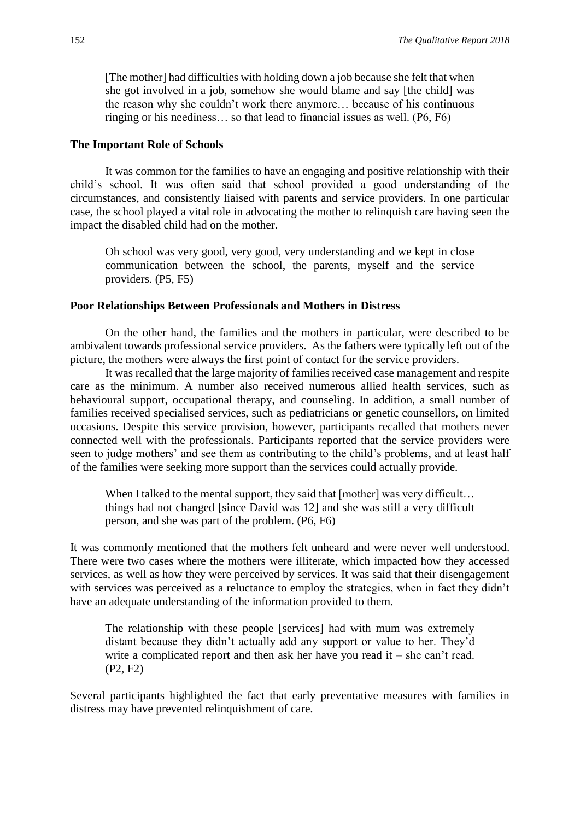[The mother] had difficulties with holding down a job because she felt that when she got involved in a job, somehow she would blame and say [the child] was the reason why she couldn't work there anymore… because of his continuous ringing or his neediness… so that lead to financial issues as well. (P6, F6)

#### **The Important Role of Schools**

It was common for the families to have an engaging and positive relationship with their child's school. It was often said that school provided a good understanding of the circumstances, and consistently liaised with parents and service providers. In one particular case, the school played a vital role in advocating the mother to relinquish care having seen the impact the disabled child had on the mother.

Oh school was very good, very good, very understanding and we kept in close communication between the school, the parents, myself and the service providers. (P5, F5)

#### **Poor Relationships Between Professionals and Mothers in Distress**

On the other hand, the families and the mothers in particular, were described to be ambivalent towards professional service providers. As the fathers were typically left out of the picture, the mothers were always the first point of contact for the service providers.

It was recalled that the large majority of families received case management and respite care as the minimum. A number also received numerous allied health services, such as behavioural support, occupational therapy, and counseling. In addition, a small number of families received specialised services, such as pediatricians or genetic counsellors, on limited occasions. Despite this service provision, however, participants recalled that mothers never connected well with the professionals. Participants reported that the service providers were seen to judge mothers' and see them as contributing to the child's problems, and at least half of the families were seeking more support than the services could actually provide.

When I talked to the mental support, they said that [mother] was very difficult... things had not changed [since David was 12] and she was still a very difficult person, and she was part of the problem. (P6, F6)

It was commonly mentioned that the mothers felt unheard and were never well understood. There were two cases where the mothers were illiterate, which impacted how they accessed services, as well as how they were perceived by services. It was said that their disengagement with services was perceived as a reluctance to employ the strategies, when in fact they didn't have an adequate understanding of the information provided to them.

The relationship with these people [services] had with mum was extremely distant because they didn't actually add any support or value to her. They'd write a complicated report and then ask her have you read it – she can't read. (P2, F2)

Several participants highlighted the fact that early preventative measures with families in distress may have prevented relinquishment of care.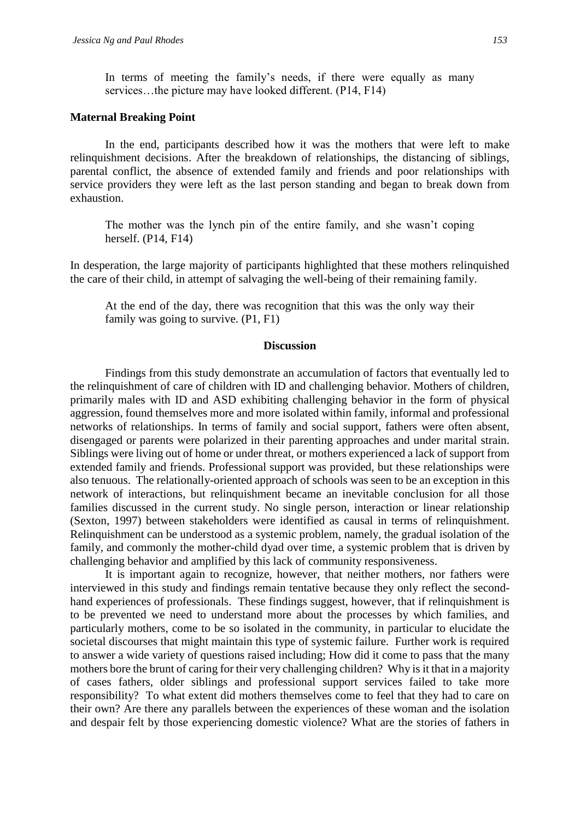In terms of meeting the family's needs, if there were equally as many services...the picture may have looked different. (P14, F14)

#### **Maternal Breaking Point**

In the end, participants described how it was the mothers that were left to make relinquishment decisions. After the breakdown of relationships, the distancing of siblings, parental conflict, the absence of extended family and friends and poor relationships with service providers they were left as the last person standing and began to break down from exhaustion.

The mother was the lynch pin of the entire family, and she wasn't coping herself. (P14, F14)

In desperation, the large majority of participants highlighted that these mothers relinquished the care of their child, in attempt of salvaging the well-being of their remaining family.

At the end of the day, there was recognition that this was the only way their family was going to survive. (P1, F1)

# **Discussion**

Findings from this study demonstrate an accumulation of factors that eventually led to the relinquishment of care of children with ID and challenging behavior. Mothers of children, primarily males with ID and ASD exhibiting challenging behavior in the form of physical aggression, found themselves more and more isolated within family, informal and professional networks of relationships. In terms of family and social support, fathers were often absent, disengaged or parents were polarized in their parenting approaches and under marital strain. Siblings were living out of home or under threat, or mothers experienced a lack of support from extended family and friends. Professional support was provided, but these relationships were also tenuous. The relationally-oriented approach of schools was seen to be an exception in this network of interactions, but relinquishment became an inevitable conclusion for all those families discussed in the current study. No single person, interaction or linear relationship (Sexton, 1997) between stakeholders were identified as causal in terms of relinquishment. Relinquishment can be understood as a systemic problem, namely, the gradual isolation of the family, and commonly the mother-child dyad over time, a systemic problem that is driven by challenging behavior and amplified by this lack of community responsiveness.

It is important again to recognize, however, that neither mothers, nor fathers were interviewed in this study and findings remain tentative because they only reflect the secondhand experiences of professionals. These findings suggest, however, that if relinquishment is to be prevented we need to understand more about the processes by which families, and particularly mothers, come to be so isolated in the community, in particular to elucidate the societal discourses that might maintain this type of systemic failure. Further work is required to answer a wide variety of questions raised including; How did it come to pass that the many mothers bore the brunt of caring for their very challenging children? Why is it that in a majority of cases fathers, older siblings and professional support services failed to take more responsibility? To what extent did mothers themselves come to feel that they had to care on their own? Are there any parallels between the experiences of these woman and the isolation and despair felt by those experiencing domestic violence? What are the stories of fathers in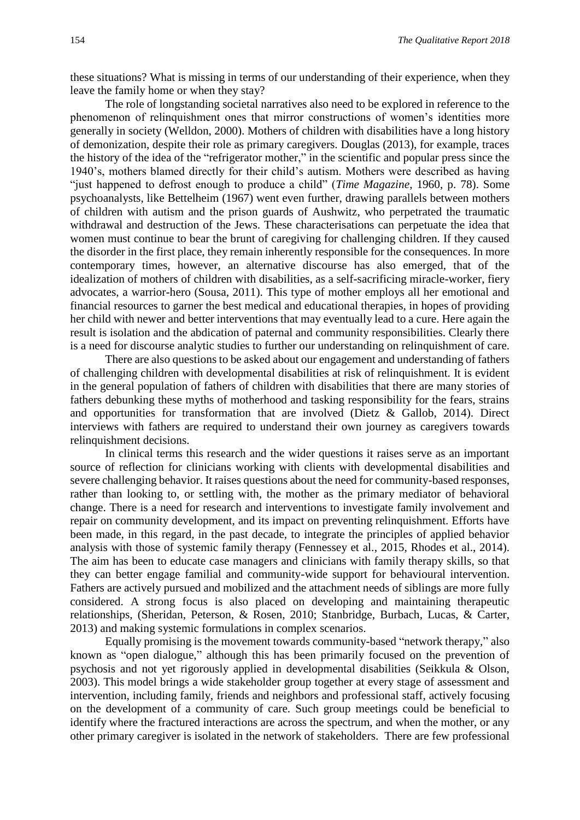these situations? What is missing in terms of our understanding of their experience, when they leave the family home or when they stay?

The role of longstanding societal narratives also need to be explored in reference to the phenomenon of relinquishment ones that mirror constructions of women's identities more generally in society (Welldon, 2000). Mothers of children with disabilities have a long history of demonization, despite their role as primary caregivers. Douglas (2013), for example, traces the history of the idea of the "refrigerator mother," in the scientific and popular press since the 1940's, mothers blamed directly for their child's autism. Mothers were described as having "just happened to defrost enough to produce a child" (*Time Magazine*, 1960, p. 78). Some psychoanalysts, like Bettelheim (1967) went even further, drawing parallels between mothers of children with autism and the prison guards of Aushwitz, who perpetrated the traumatic withdrawal and destruction of the Jews. These characterisations can perpetuate the idea that women must continue to bear the brunt of caregiving for challenging children. If they caused the disorder in the first place, they remain inherently responsible for the consequences. In more contemporary times, however, an alternative discourse has also emerged, that of the idealization of mothers of children with disabilities, as a self-sacrificing miracle-worker, fiery advocates, a warrior-hero (Sousa, 2011). This type of mother employs all her emotional and financial resources to garner the best medical and educational therapies, in hopes of providing her child with newer and better interventions that may eventually lead to a cure. Here again the result is isolation and the abdication of paternal and community responsibilities. Clearly there is a need for discourse analytic studies to further our understanding on relinquishment of care.

There are also questions to be asked about our engagement and understanding of fathers of challenging children with developmental disabilities at risk of relinquishment. It is evident in the general population of fathers of children with disabilities that there are many stories of fathers debunking these myths of motherhood and tasking responsibility for the fears, strains and opportunities for transformation that are involved (Dietz & Gallob, 2014). Direct interviews with fathers are required to understand their own journey as caregivers towards relinquishment decisions.

In clinical terms this research and the wider questions it raises serve as an important source of reflection for clinicians working with clients with developmental disabilities and severe challenging behavior. It raises questions about the need for community-based responses, rather than looking to, or settling with, the mother as the primary mediator of behavioral change. There is a need for research and interventions to investigate family involvement and repair on community development, and its impact on preventing relinquishment. Efforts have been made, in this regard, in the past decade, to integrate the principles of applied behavior analysis with those of systemic family therapy (Fennessey et al., 2015, Rhodes et al., 2014). The aim has been to educate case managers and clinicians with family therapy skills, so that they can better engage familial and community-wide support for behavioural intervention. Fathers are actively pursued and mobilized and the attachment needs of siblings are more fully considered. A strong focus is also placed on developing and maintaining therapeutic relationships, (Sheridan, Peterson, & Rosen, 2010; Stanbridge, Burbach, Lucas, & Carter, 2013) and making systemic formulations in complex scenarios.

Equally promising is the movement towards community-based "network therapy," also known as "open dialogue," although this has been primarily focused on the prevention of psychosis and not yet rigorously applied in developmental disabilities (Seikkula & Olson, 2003). This model brings a wide stakeholder group together at every stage of assessment and intervention, including family, friends and neighbors and professional staff, actively focusing on the development of a community of care. Such group meetings could be beneficial to identify where the fractured interactions are across the spectrum, and when the mother, or any other primary caregiver is isolated in the network of stakeholders. There are few professional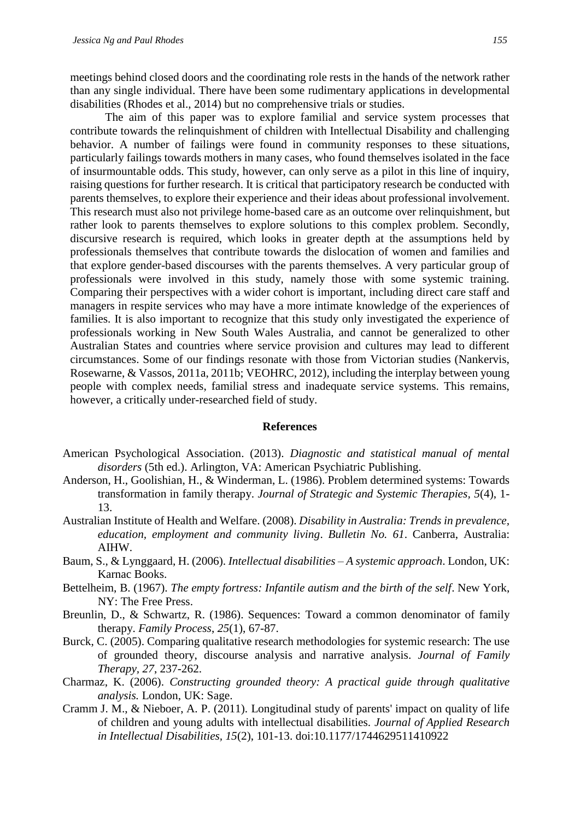meetings behind closed doors and the coordinating role rests in the hands of the network rather than any single individual. There have been some rudimentary applications in developmental disabilities (Rhodes et al., 2014) but no comprehensive trials or studies.

The aim of this paper was to explore familial and service system processes that contribute towards the relinquishment of children with Intellectual Disability and challenging behavior. A number of failings were found in community responses to these situations, particularly failings towards mothers in many cases, who found themselves isolated in the face of insurmountable odds. This study, however, can only serve as a pilot in this line of inquiry, raising questions for further research. It is critical that participatory research be conducted with parents themselves, to explore their experience and their ideas about professional involvement. This research must also not privilege home-based care as an outcome over relinquishment, but rather look to parents themselves to explore solutions to this complex problem. Secondly, discursive research is required, which looks in greater depth at the assumptions held by professionals themselves that contribute towards the dislocation of women and families and that explore gender-based discourses with the parents themselves. A very particular group of professionals were involved in this study, namely those with some systemic training. Comparing their perspectives with a wider cohort is important, including direct care staff and managers in respite services who may have a more intimate knowledge of the experiences of families. It is also important to recognize that this study only investigated the experience of professionals working in New South Wales Australia, and cannot be generalized to other Australian States and countries where service provision and cultures may lead to different circumstances. Some of our findings resonate with those from Victorian studies (Nankervis, Rosewarne, & Vassos, 2011a, 2011b; VEOHRC, 2012), including the interplay between young people with complex needs, familial stress and inadequate service systems. This remains, however, a critically under-researched field of study.

#### **References**

- American Psychological Association. (2013). *Diagnostic and statistical manual of mental disorders* (5th ed.). Arlington, VA: American Psychiatric Publishing.
- Anderson, H., Goolishian, H., & Winderman, L. (1986). Problem determined systems: Towards transformation in family therapy. *Journal of Strategic and Systemic Therapies, 5*(4), 1- 13.
- Australian Institute of Health and Welfare. (2008). *Disability in Australia: Trends in prevalence, education, employment and community living*. *Bulletin No. 61*. Canberra, Australia: AIHW.
- Baum, S., & Lynggaard, H. (2006). *Intellectual disabilities – A systemic approach*. London, UK: Karnac Books.
- Bettelheim, B. (1967). *The empty fortress: Infantile autism and the birth of the self*. New York, NY: The Free Press.
- Breunlin, D., & Schwartz, R. (1986). Sequences: Toward a common denominator of family therapy. *Family Process*, *25*(1), 67-87.
- Burck, C. (2005). Comparing qualitative research methodologies for systemic research: The use of grounded theory, discourse analysis and narrative analysis. *Journal of Family Therapy, 27*, 237-262.
- Charmaz, K. (2006). *Constructing grounded theory: A practical guide through qualitative analysis.* London, UK: Sage.
- Cramm J. M., & Nieboer, A. P. (2011). Longitudinal study of parents' impact on quality of life of children and young adults with intellectual disabilities. *Journal of Applied Research in Intellectual Disabilities, 15*(2), 101-13. doi:10.1177/1744629511410922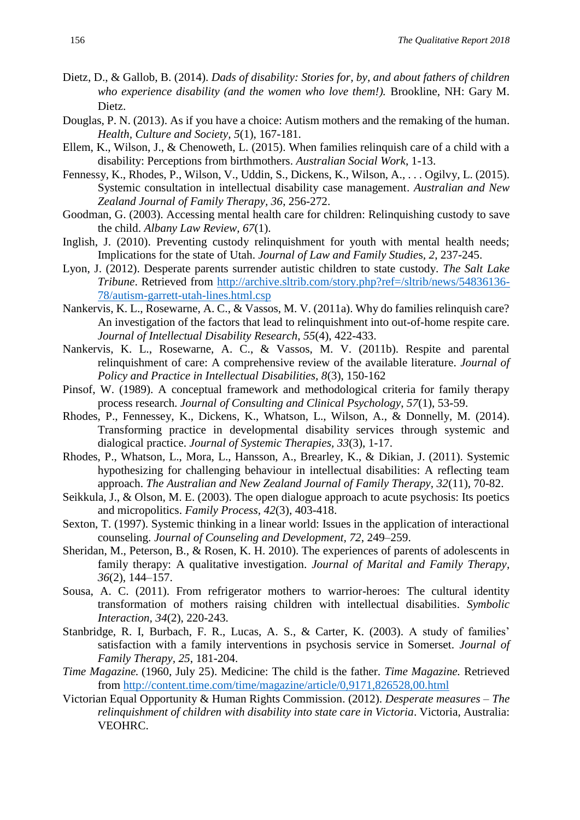- Dietz, D., & Gallob, B. (2014). *Dads of disability: Stories for, by, and about fathers of children who experience disability (and the women who love them!).* Brookline, NH: Gary M. Dietz.
- Douglas, P. N. (2013). As if you have a choice: Autism mothers and the remaking of the human. *Health, Culture and Society, 5*(1), 167-181.
- Ellem, K., Wilson, J., & Chenoweth, L. (2015). When families relinquish care of a child with a disability: Perceptions from birthmothers. *Australian Social Work*, 1-13.
- Fennessy, K., Rhodes, P., Wilson, V., Uddin, S., Dickens, K., Wilson, A., . . . Ogilvy, L. (2015). Systemic consultation in intellectual disability case management. *Australian and New Zealand Journal of Family Therapy, 36*, 256-272.
- Goodman, G. (2003). Accessing mental health care for children: Relinquishing custody to save the child. *Albany Law Review, 67*(1).
- Inglish, J. (2010). Preventing custody relinquishment for youth with mental health needs; Implications for the state of Utah. *Journal of Law and Family Studie*s*, 2*, 237-245.
- Lyon, J. (2012). Desperate parents surrender autistic children to state custody. *The Salt Lake Tribune*. Retrieved from [http://archive.sltrib.com/story.php?ref=/sltrib/news/54836136-](http://archive.sltrib.com/story.php?ref=/sltrib/news/54836136-78/autism-garrett-utah-lines.html.csp) [78/autism-garrett-utah-lines.html.csp](http://archive.sltrib.com/story.php?ref=/sltrib/news/54836136-78/autism-garrett-utah-lines.html.csp)
- Nankervis, K. L., Rosewarne, A. C., & Vassos, M. V. (2011a). Why do families relinquish care? An investigation of the factors that lead to relinquishment into out-of-home respite care. *Journal of Intellectual Disability Research*, *55*(4), 422-433.
- Nankervis, K. L., Rosewarne, A. C., & Vassos, M. V. (2011b). Respite and parental relinquishment of care: A comprehensive review of the available literature. *Journal of Policy and Practice in Intellectual Disabilities, 8*(3), 150-162
- Pinsof, W. (1989). A conceptual framework and methodological criteria for family therapy process research. *Journal of Consulting and Clinical Psychology*, *57*(1), 53-59.
- Rhodes, P., Fennessey, K., Dickens, K., Whatson, L., Wilson, A., & Donnelly, M. (2014). Transforming practice in developmental disability services through systemic and dialogical practice. *Journal of Systemic Therapies, 33*(3), 1-17.
- Rhodes, P., Whatson, L., Mora, L., Hansson, A., Brearley, K., & Dikian, J. (2011). Systemic hypothesizing for challenging behaviour in intellectual disabilities: A reflecting team approach. *The Australian and New Zealand Journal of Family Therapy, 32*(11), 70-82.
- Seikkula, J., & Olson, M. E. (2003). The open dialogue approach to acute psychosis: Its poetics and micropolitics. *Family Process, 42*(3), 403-418.
- Sexton, T. (1997). Systemic thinking in a linear world: Issues in the application of interactional counseling. *Journal of Counseling and Development, 72*, 249–259.
- Sheridan, M., Peterson, B., & Rosen, K. H. 2010). The experiences of parents of adolescents in family therapy: A qualitative investigation. *Journal of Marital and Family Therapy, 36*(2), 144–157.
- Sousa, A. C. (2011). From refrigerator mothers to warrior-heroes: The cultural identity transformation of mothers raising children with intellectual disabilities. *Symbolic Interaction, 34*(2), 220-243.
- Stanbridge, R. I, Burbach, F. R., Lucas, A. S., & Carter, K. (2003). A study of families' satisfaction with a family interventions in psychosis service in Somerset. *Journal of Family Therapy, 25*, 181-204.
- *Time Magazine.* (1960, July 25). Medicine: The child is the father. *Time Magazine.* Retrieved from<http://content.time.com/time/magazine/article/0,9171,826528,00.html>
- Victorian Equal Opportunity & Human Rights Commission. (2012). *Desperate measures – The relinquishment of children with disability into state care in Victoria*. Victoria, Australia: VEOHRC.